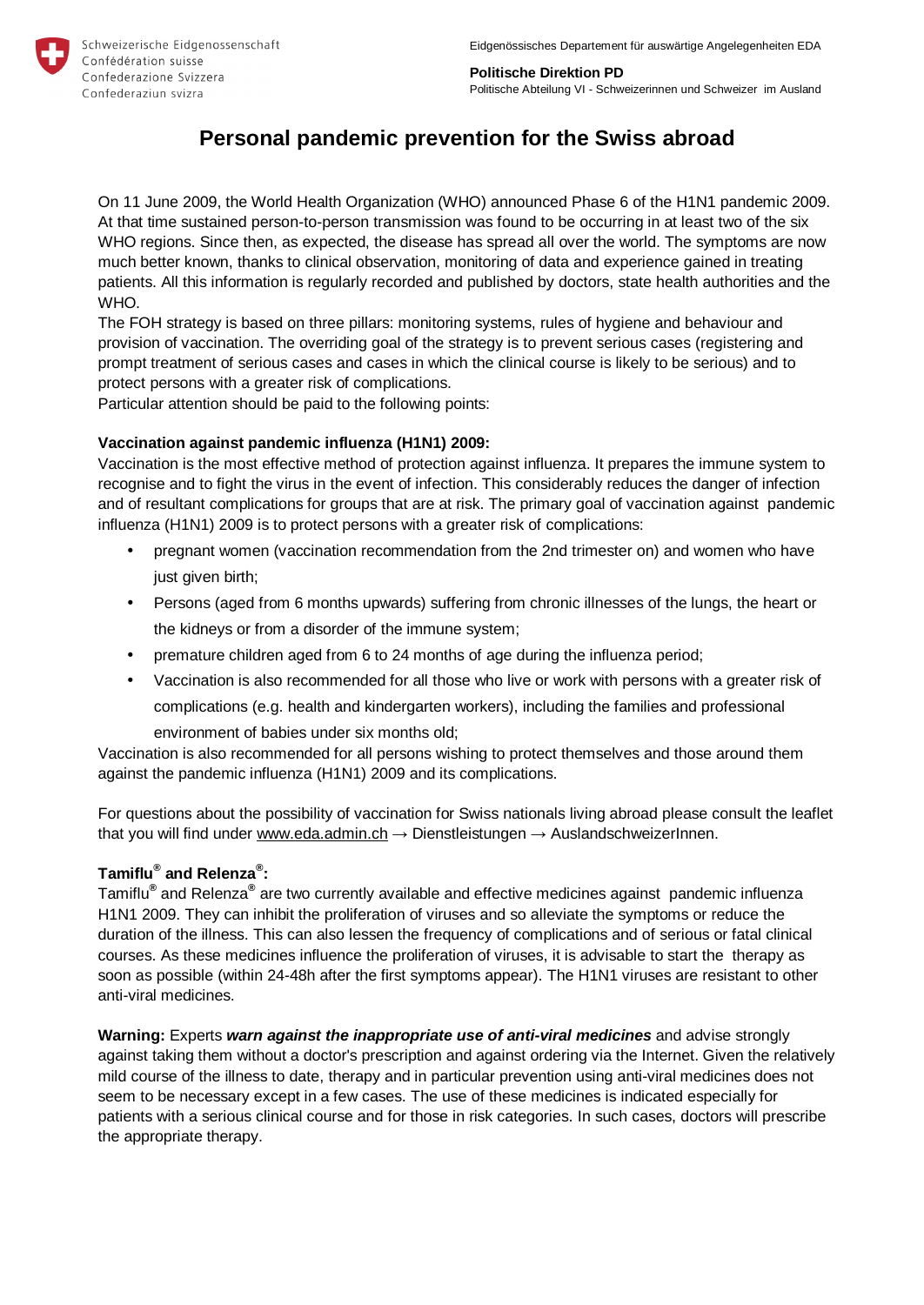

**Politische Direktion PD**  Politische Abteilung VI - Schweizerinnen und Schweizer im Ausland

# **Personal pandemic prevention for the Swiss abroad**

On 11 June 2009, the World Health Organization (WHO) announced Phase 6 of the H1N1 pandemic 2009. At that time sustained person-to-person transmission was found to be occurring in at least two of the six WHO regions. Since then, as expected, the disease has spread all over the world. The symptoms are now much better known, thanks to clinical observation, monitoring of data and experience gained in treating patients. All this information is regularly recorded and published by doctors, state health authorities and the WHO.

The FOH strategy is based on three pillars: monitoring systems, rules of hygiene and behaviour and provision of vaccination. The overriding goal of the strategy is to prevent serious cases (registering and prompt treatment of serious cases and cases in which the clinical course is likely to be serious) and to protect persons with a greater risk of complications.

Particular attention should be paid to the following points:

## **Vaccination against pandemic influenza (H1N1) 2009:**

Vaccination is the most effective method of protection against influenza. It prepares the immune system to recognise and to fight the virus in the event of infection. This considerably reduces the danger of infection and of resultant complications for groups that are at risk. The primary goal of vaccination against pandemic influenza (H1N1) 2009 is to protect persons with a greater risk of complications:

- pregnant women (vaccination recommendation from the 2nd trimester on) and women who have just given birth;
- Persons (aged from 6 months upwards) suffering from chronic illnesses of the lungs, the heart or the kidneys or from a disorder of the immune system;
- premature children aged from 6 to 24 months of age during the influenza period;
- Vaccination is also recommended for all those who live or work with persons with a greater risk of complications (e.g. health and kindergarten workers), including the families and professional environment of babies under six months old;

Vaccination is also recommended for all persons wishing to protect themselves and those around them against the pandemic influenza (H1N1) 2009 and its complications.

For questions about the possibility of vaccination for Swiss nationals living abroad please consult the leaflet that you will find under [www.eda.admin.ch](http://www.eda.admin.ch)  $\rightarrow$  Dienstleistungen  $\rightarrow$  AuslandschweizerInnen.

# **Tamiflu® and Relenza® :**

Tamiflu**®** and Relenza**®** are two currently available and effective medicines against pandemic influenza H1N1 2009. They can inhibit the proliferation of viruses and so alleviate the symptoms or reduce the duration of the illness. This can also lessen the frequency of complications and of serious or fatal clinical courses. As these medicines influence the proliferation of viruses, it is advisable to start the therapy as soon as possible (within 24-48h after the first symptoms appear). The H1N1 viruses are resistant to other anti-viral medicines.

**Warning:** Experts *warn against the inappropriate use of anti-viral medicines* and advise strongly against taking them without a doctor's prescription and against ordering via the Internet. Given the relatively mild course of the illness to date, therapy and in particular prevention using anti-viral medicines does not seem to be necessary except in a few cases. The use of these medicines is indicated especially for patients with a serious clinical course and for those in risk categories. In such cases, doctors will prescribe the appropriate therapy.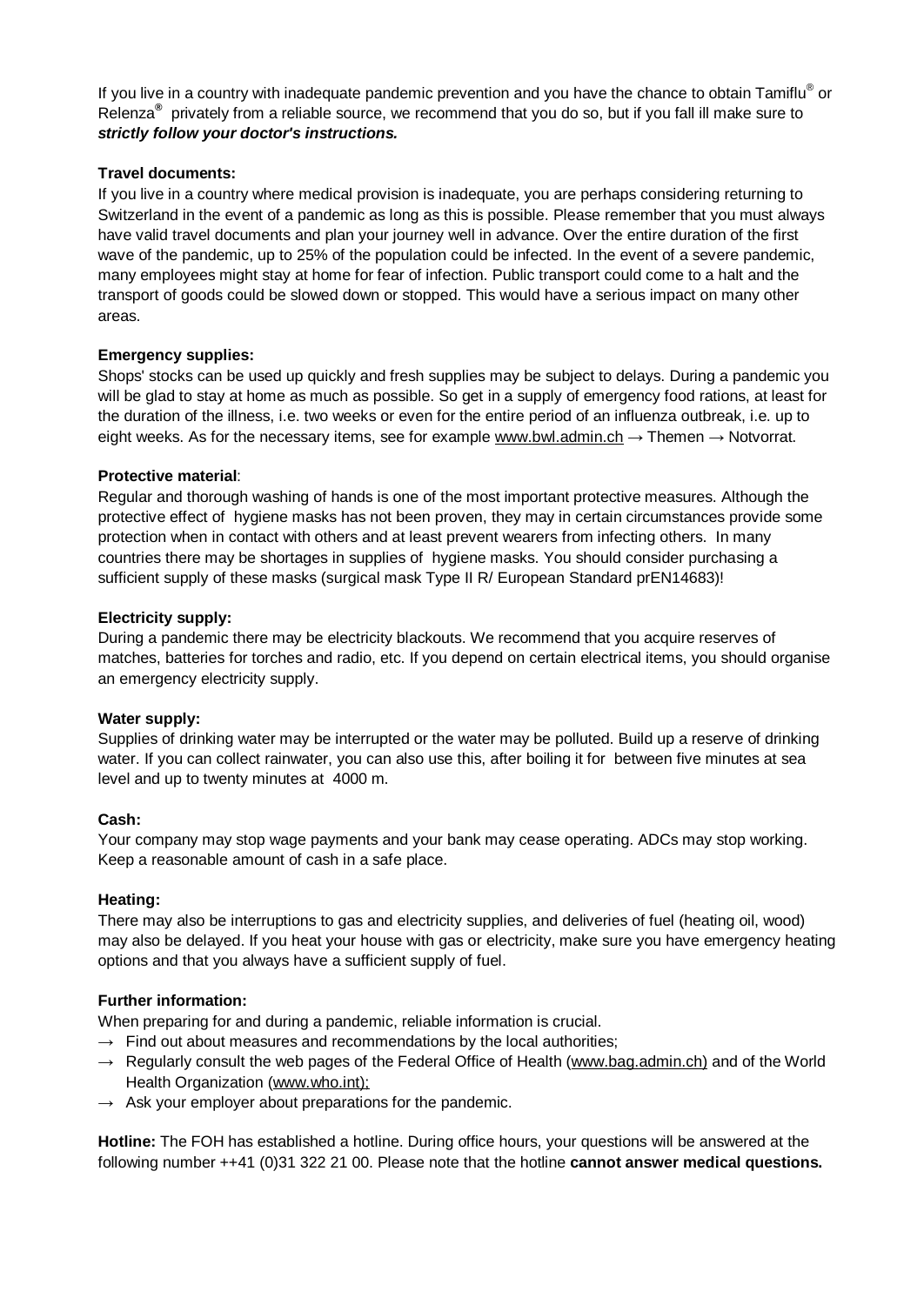If you live in a country with inadequate pandemic prevention and you have the chance to obtain Tamiflu® or Relenza**®** privately from a reliable source, we recommend that you do so, but if you fall ill make sure to *strictly follow your doctor's instructions.*

## **Travel documents:**

If you live in a country where medical provision is inadequate, you are perhaps considering returning to Switzerland in the event of a pandemic as long as this is possible. Please remember that you must always have valid travel documents and plan your journey well in advance. Over the entire duration of the first wave of the pandemic, up to 25% of the population could be infected. In the event of a severe pandemic, many employees might stay at home for fear of infection. Public transport could come to a halt and the transport of goods could be slowed down or stopped. This would have a serious impact on many other areas.

## **Emergency supplies:**

Shops' stocks can be used up quickly and fresh supplies may be subject to delays. During a pandemic you will be glad to stay at home as much as possible. So get in a supply of emergency food rations, at least for the duration of the illness, i.e. two weeks or even for the entire period of an influenza outbreak, i.e. up to eight weeks. As for the necessary items, see for example [www.bwl.admin.ch](http://www.bwl.admin.ch)  $\rightarrow$  Themen  $\rightarrow$  Notvorrat.

## **Protective material**:

Regular and thorough washing of hands is one of the most important protective measures. Although the protective effect of hygiene masks has not been proven, they may in certain circumstances provide some protection when in contact with others and at least prevent wearers from infecting others. In many countries there may be shortages in supplies of hygiene masks. You should consider purchasing a sufficient supply of these masks (surgical mask Type II R/ European Standard prEN14683)!

## **Electricity supply:**

During a pandemic there may be electricity blackouts. We recommend that you acquire reserves of matches, batteries for torches and radio, etc. If you depend on certain electrical items, you should organise an emergency electricity supply.

#### **Water supply:**

Supplies of drinking water may be interrupted or the water may be polluted. Build up a reserve of drinking water. If you can collect rainwater, you can also use this, after boiling it for between five minutes at sea level and up to twenty minutes at 4000 m.

#### **Cash:**

Your company may stop wage payments and your bank may cease operating. ADCs may stop working. Keep a reasonable amount of cash in a safe place.

#### **Heating:**

There may also be interruptions to gas and electricity supplies, and deliveries of fuel (heating oil, wood) may also be delayed. If you heat your house with gas or electricity, make sure you have emergency heating options and that you always have a sufficient supply of fuel.

# **Further information:**

When preparing for and during a pandemic, reliable information is crucial.

- $\rightarrow$  Find out about measures and recommendations by the local authorities;
- $\rightarrow$  Regularly consult the web pages of the Federal Office of Health [\(www.bag.admin.ch\)](http://www.bag.admin.ch)) and of the World Health Organization ([www.who.int\);](http://www.who.int);)
- $\rightarrow$  Ask your employer about preparations for the pandemic.

**Hotline:** The FOH has established a hotline. During office hours, your questions will be answered at the following number ++41 (0)31 322 21 00. Please note that the hotline **cannot answer medical questions.**